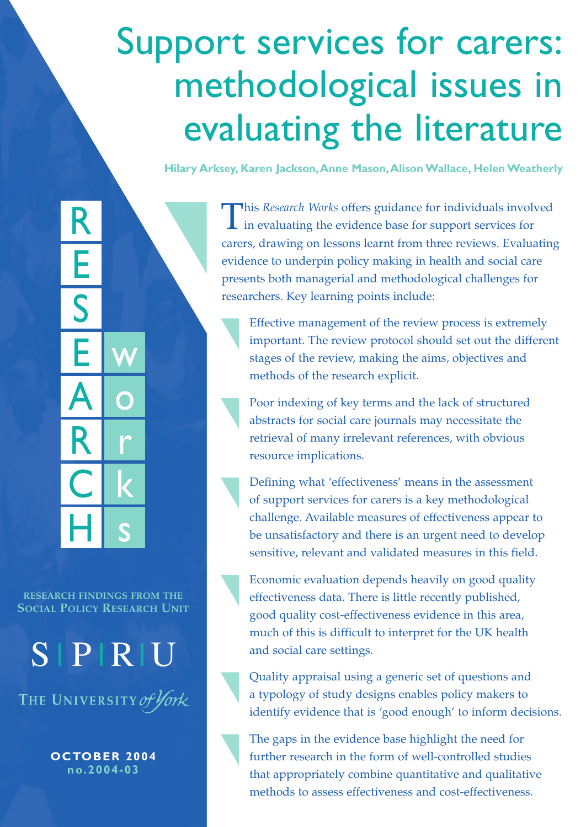# Support services for carers: methodological issues in evaluating the literature

**Hilary Arksey, Karen Jackson,Anne Mason,Alison Wallace, Helen Weatherly**

This *Research Works* offers guidance for individuals involved<br>in evaluating the evidence base for support services for carers, drawing on lessons learnt from three reviews. Evaluating evidence to underpin policy making in health and social care presents both managerial and methodological challenges for researchers. Key learning points include:

Effective management of the review process is extremely important. The review protocol should set out the different stages of the review, making the aims, objectives and methods of the research explicit.

Poor indexing of key terms and the lack of structured abstracts for social care journals may necessitate the retrieval of many irrelevant references, with obvious resource implications.

Defining what 'effectiveness' means in the assessment of support services for carers is a key methodological challenge. Available measures of effectiveness appear to be unsatisfactory and there is an urgent need to develop sensitive, relevant and validated measures in this field.

Economic evaluation depends heavily on good quality effectiveness data. There is little recently published, good quality cost-effectiveness evidence in this area, much of this is difficult to interpret for the UK health and social care settings.

Quality appraisal using a generic set of questions and a typology of study designs enables policy makers to identify evidence that is 'good enough' to inform decisions.

The gaps in the evidence base highlight the need for further research in the form of well-controlled studies that appropriately combine quantitative and qualitative methods to assess effectiveness and cost-effectiveness.

**RESEARCH FINDINGS FROM THE SOCIAL POLICY RESEARCH UNIT**

E

S

E

w

o

r

k

s

A

R

C

 $\overline{\mathsf{H}}$ 

R



THE UNIVERSITY of York

**OCTOBER 2004 no.2004-03**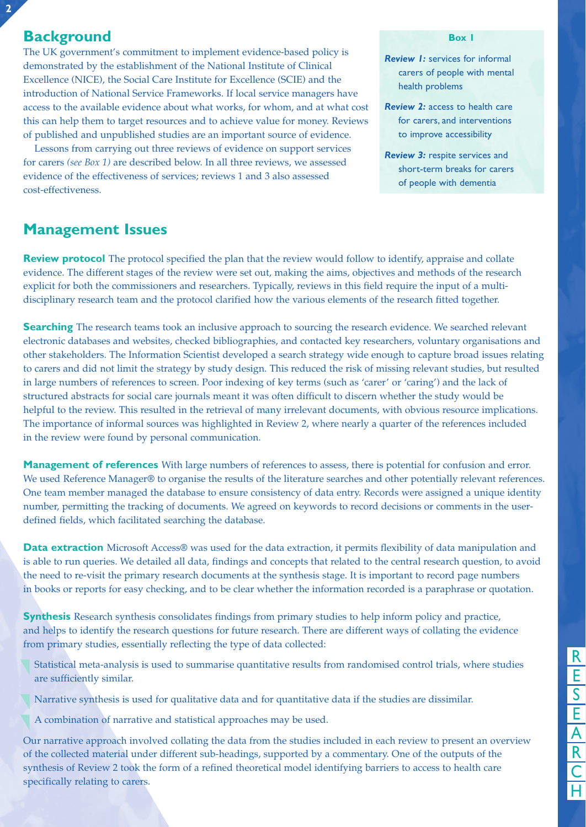## **Background**

**2**

The UK government's commitment to implement evidence-based policy is demonstrated by the establishment of the National Institute of Clinical Excellence (NICE), the Social Care Institute for Excellence (SCIE) and the introduction of National Service Frameworks. If local service managers have access to the available evidence about what works, for whom, and at what cost this can help them to target resources and to achieve value for money. Reviews of published and unpublished studies are an important source of evidence.

Lessons from carrying out three reviews of evidence on support services for carers *(see Box 1)* are described below. In all three reviews, we assessed evidence of the effectiveness of services; reviews 1 and 3 also assessed cost-effectiveness.

# **Management Issues**

**Review protocol** The protocol specified the plan that the review would follow to identify, appraise and collate evidence. The different stages of the review were set out, making the aims, objectives and methods of the research explicit for both the commissioners and researchers. Typically, reviews in this field require the input of a multidisciplinary research team and the protocol clarified how the various elements of the research fitted together.

**Searching** The research teams took an inclusive approach to sourcing the research evidence. We searched relevant electronic databases and websites, checked bibliographies, and contacted key researchers, voluntary organisations and other stakeholders. The Information Scientist developed a search strategy wide enough to capture broad issues relating to carers and did not limit the strategy by study design. This reduced the risk of missing relevant studies, but resulted in large numbers of references to screen. Poor indexing of key terms (such as 'carer' or 'caring') and the lack of structured abstracts for social care journals meant it was often difficult to discern whether the study would be helpful to the review. This resulted in the retrieval of many irrelevant documents, with obvious resource implications. The importance of informal sources was highlighted in Review 2, where nearly a quarter of the references included in the review were found by personal communication.

**Management of references** With large numbers of references to assess, there is potential for confusion and error. We used Reference Manager® to organise the results of the literature searches and other potentially relevant references. One team member managed the database to ensure consistency of data entry. Records were assigned a unique identity number, permitting the tracking of documents. We agreed on keywords to record decisions or comments in the userdefined fields, which facilitated searching the database.

**Data extraction** Microsoft Access<sup>®</sup> was used for the data extraction, it permits flexibility of data manipulation and is able to run queries. We detailed all data, findings and concepts that related to the central research question, to avoid the need to re-visit the primary research documents at the synthesis stage. It is important to record page numbers in books or reports for easy checking, and to be clear whether the information recorded is a paraphrase or quotation.

**Synthesis** Research synthesis consolidates findings from primary studies to help inform policy and practice, and helps to identify the research questions for future research. There are different ways of collating the evidence from primary studies, essentially reflecting the type of data collected:

- Statistical meta-analysis is used to summarise quantitative results from randomised control trials, where studies are sufficiently similar.
- Narrative synthesis is used for qualitative data and for quantitative data if the studies are dissimilar.
- A combination of narrative and statistical approaches may be used.

Our narrative approach involved collating the data from the studies included in each review to present an overview of the collected material under different sub-headings, supported by a commentary. One of the outputs of the synthesis of Review 2 took the form of a refined theoretical model identifying barriers to access to health care specifically relating to carers.

#### **Box 1**

- *Review 1:* services for informal carers of people with mental health problems
- *Review 2:* access to health care for carers, and interventions to improve accessibility
- *Review 3:* respite services and short-term breaks for carers of people with dementia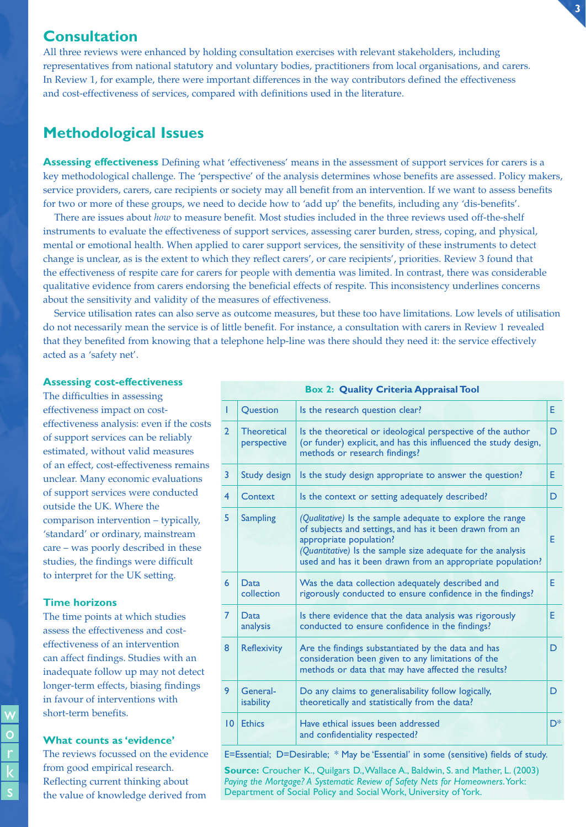## **Consultation**

All three reviews were enhanced by holding consultation exercises with relevant stakeholders, including representatives from national statutory and voluntary bodies, practitioners from local organisations, and carers. In Review 1, for example, there were important differences in the way contributors defined the effectiveness and cost-effectiveness of services, compared with definitions used in the literature.

# **Methodological Issues**

**Assessing effectiveness** Defining what 'effectiveness' means in the assessment of support services for carers is a key methodological challenge. The 'perspective' of the analysis determines whose benefits are assessed. Policy makers, service providers, carers, care recipients or society may all benefit from an intervention. If we want to assess benefits for two or more of these groups, we need to decide how to 'add up' the benefits, including any 'dis-benefits'.

There are issues about *how* to measure benefit. Most studies included in the three reviews used off-the-shelf instruments to evaluate the effectiveness of support services, assessing carer burden, stress, coping, and physical, mental or emotional health. When applied to carer support services, the sensitivity of these instruments to detect change is unclear, as is the extent to which they reflect carers', or care recipients', priorities. Review 3 found that the effectiveness of respite care for carers for people with dementia was limited. In contrast, there was considerable qualitative evidence from carers endorsing the beneficial effects of respite. This inconsistency underlines concerns about the sensitivity and validity of the measures of effectiveness.

Service utilisation rates can also serve as outcome measures, but these too have limitations. Low levels of utilisation do not necessarily mean the service is of little benefit. For instance, a consultation with carers in Review 1 revealed that they benefited from knowing that a telephone help-line was there should they need it: the service effectively acted as a 'safety net'.

## **Assessing cost-effectiveness**

The difficulties in assessing effectiveness impact on costeffectiveness analysis: even if the costs of support services can be reliably estimated, without valid measures of an effect, cost-effectiveness remains unclear. Many economic evaluations of support services were conducted outside the UK. Where the comparison intervention – typically, 'standard' or ordinary, mainstream care – was poorly described in these studies, the findings were difficult to interpret for the UK setting.

## **Time horizons**

w o

k

s

The time points at which studies assess the effectiveness and costeffectiveness of an intervention can affect findings. Studies with an inadequate follow up may not detect longer-term effects, biasing findings in favour of interventions with short-term benefits.

## **What counts as 'evidence'**

The reviews focussed on the evidence from good empirical research. Reflecting current thinking about the value of knowledge derived from

|                | <b>Ouestion</b>                   | Is the research question clear?                                                                                                                                                                                                                                              | E     |  |
|----------------|-----------------------------------|------------------------------------------------------------------------------------------------------------------------------------------------------------------------------------------------------------------------------------------------------------------------------|-------|--|
| $\overline{2}$ | <b>Theoretical</b><br>perspective | Is the theoretical or ideological perspective of the author<br>(or funder) explicit, and has this influenced the study design,<br>methods or research findings?                                                                                                              | D     |  |
| 3              | Study design                      | Is the study design appropriate to answer the question?                                                                                                                                                                                                                      | E     |  |
| $\overline{4}$ | Context                           | Is the context or setting adequately described?                                                                                                                                                                                                                              | D     |  |
| 5              | <b>Sampling</b>                   | (Qualitative) Is the sample adequate to explore the range<br>of subjects and settings, and has it been drawn from an<br>appropriate population?<br>(Quantitative) Is the sample size adequate for the analysis<br>used and has it been drawn from an appropriate population? | E     |  |
| 6              | Data<br>collection                | Was the data collection adequately described and<br>rigorously conducted to ensure confidence in the findings?                                                                                                                                                               | E     |  |
| $\overline{7}$ | Data<br>analysis                  | Is there evidence that the data analysis was rigorously<br>conducted to ensure confidence in the findings?                                                                                                                                                                   | E     |  |
| 8              | <b>Reflexivity</b>                | Are the findings substantiated by the data and has<br>consideration been given to any limitations of the<br>methods or data that may have affected the results?                                                                                                              | D     |  |
| 9              | General-<br>isability             | Do any claims to generalisability follow logically,<br>theoretically and statistically from the data?                                                                                                                                                                        | D     |  |
| 10             | <b>Ethics</b>                     | Have ethical issues been addressed<br>and confidentiality respected?                                                                                                                                                                                                         | $D^*$ |  |
|                |                                   |                                                                                                                                                                                                                                                                              |       |  |

**Box 2: Quality Criteria Appraisal Tool**

E=Essential; D=Desirable; \* May be 'Essential' in some (sensitive) fields of study.

**Source:** Croucher K., Quilgars D.,Wallace A., Baldwin, S. and Mather, L. (2003) *Paying the Mortgage? A Systematic Review of Safety Nets for Homeowners*.York: Department of Social Policy and Social Work, University of York.

**3**